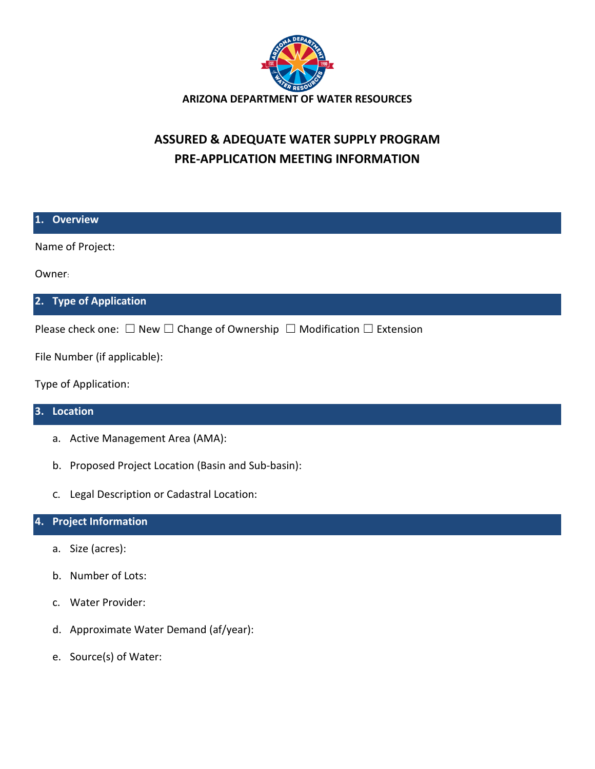

## **ASSURED & ADEQUATE WATER SUPPLY PROGRAM PRE-APPLICATION MEETING INFORMATION**

| 1. Overview                                                                                  |
|----------------------------------------------------------------------------------------------|
| Name of Project:                                                                             |
| Owner:                                                                                       |
| 2. Type of Application                                                                       |
| Please check one: $\Box$ New $\Box$ Change of Ownership $\Box$ Modification $\Box$ Extension |
| File Number (if applicable):                                                                 |
| Type of Application:                                                                         |
| 3. Location                                                                                  |

- a. Active Management Area (AMA):
- b. Proposed Project Location (Basin and Sub-basin):
- c. Legal Description or Cadastral Location:

## **4. Project Information**

- a. Size (acres):
- b. Number of Lots:
- c. Water Provider:
- d. Approximate Water Demand (af/year):
- e. Source(s) of Water: